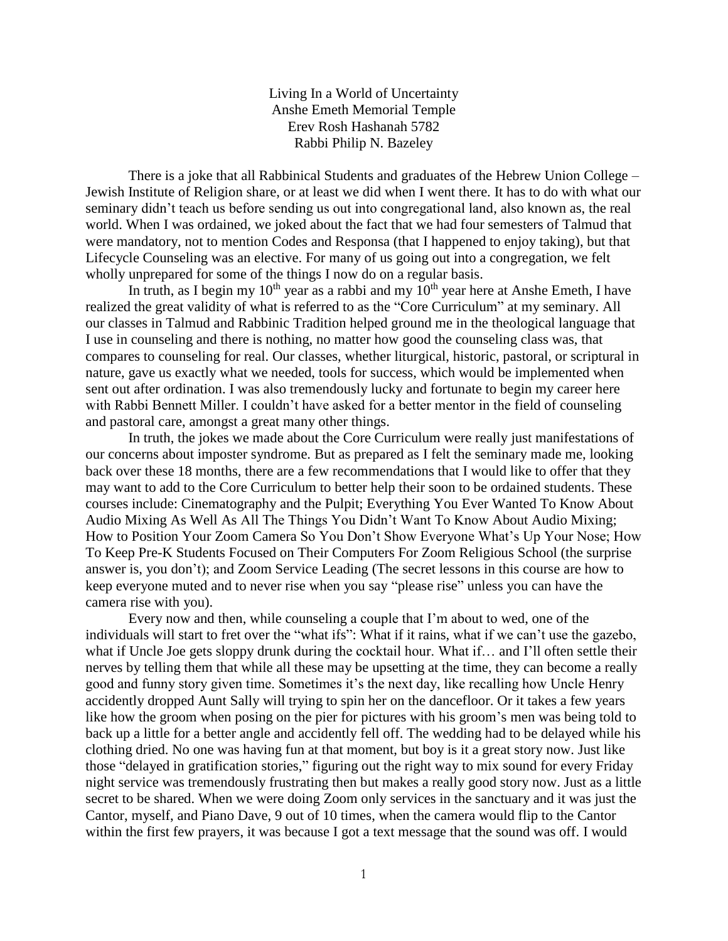Living In a World of Uncertainty Anshe Emeth Memorial Temple Erev Rosh Hashanah 5782 Rabbi Philip N. Bazeley

There is a joke that all Rabbinical Students and graduates of the Hebrew Union College – Jewish Institute of Religion share, or at least we did when I went there. It has to do with what our seminary didn't teach us before sending us out into congregational land, also known as, the real world. When I was ordained, we joked about the fact that we had four semesters of Talmud that were mandatory, not to mention Codes and Responsa (that I happened to enjoy taking), but that Lifecycle Counseling was an elective. For many of us going out into a congregation, we felt wholly unprepared for some of the things I now do on a regular basis.

In truth, as I begin my  $10^{th}$  year as a rabbi and my  $10^{th}$  year here at Anshe Emeth, I have realized the great validity of what is referred to as the "Core Curriculum" at my seminary. All our classes in Talmud and Rabbinic Tradition helped ground me in the theological language that I use in counseling and there is nothing, no matter how good the counseling class was, that compares to counseling for real. Our classes, whether liturgical, historic, pastoral, or scriptural in nature, gave us exactly what we needed, tools for success, which would be implemented when sent out after ordination. I was also tremendously lucky and fortunate to begin my career here with Rabbi Bennett Miller. I couldn't have asked for a better mentor in the field of counseling and pastoral care, amongst a great many other things.

In truth, the jokes we made about the Core Curriculum were really just manifestations of our concerns about imposter syndrome. But as prepared as I felt the seminary made me, looking back over these 18 months, there are a few recommendations that I would like to offer that they may want to add to the Core Curriculum to better help their soon to be ordained students. These courses include: Cinematography and the Pulpit; Everything You Ever Wanted To Know About Audio Mixing As Well As All The Things You Didn't Want To Know About Audio Mixing; How to Position Your Zoom Camera So You Don't Show Everyone What's Up Your Nose; How To Keep Pre-K Students Focused on Their Computers For Zoom Religious School (the surprise answer is, you don't); and Zoom Service Leading (The secret lessons in this course are how to keep everyone muted and to never rise when you say "please rise" unless you can have the camera rise with you).

Every now and then, while counseling a couple that I'm about to wed, one of the individuals will start to fret over the "what ifs": What if it rains, what if we can't use the gazebo, what if Uncle Joe gets sloppy drunk during the cocktail hour. What if… and I'll often settle their nerves by telling them that while all these may be upsetting at the time, they can become a really good and funny story given time. Sometimes it's the next day, like recalling how Uncle Henry accidently dropped Aunt Sally will trying to spin her on the dancefloor. Or it takes a few years like how the groom when posing on the pier for pictures with his groom's men was being told to back up a little for a better angle and accidently fell off. The wedding had to be delayed while his clothing dried. No one was having fun at that moment, but boy is it a great story now. Just like those "delayed in gratification stories," figuring out the right way to mix sound for every Friday night service was tremendously frustrating then but makes a really good story now. Just as a little secret to be shared. When we were doing Zoom only services in the sanctuary and it was just the Cantor, myself, and Piano Dave, 9 out of 10 times, when the camera would flip to the Cantor within the first few prayers, it was because I got a text message that the sound was off. I would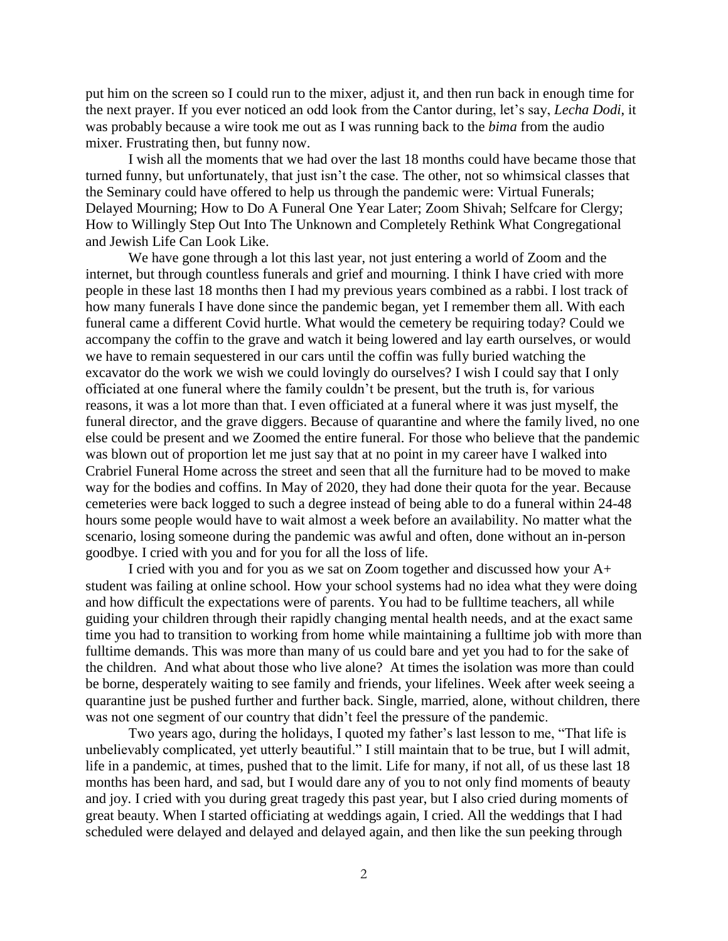put him on the screen so I could run to the mixer, adjust it, and then run back in enough time for the next prayer. If you ever noticed an odd look from the Cantor during, let's say, *Lecha Dodi*, it was probably because a wire took me out as I was running back to the *bima* from the audio mixer. Frustrating then, but funny now.

I wish all the moments that we had over the last 18 months could have became those that turned funny, but unfortunately, that just isn't the case. The other, not so whimsical classes that the Seminary could have offered to help us through the pandemic were: Virtual Funerals; Delayed Mourning; How to Do A Funeral One Year Later; Zoom Shivah; Selfcare for Clergy; How to Willingly Step Out Into The Unknown and Completely Rethink What Congregational and Jewish Life Can Look Like.

We have gone through a lot this last year, not just entering a world of Zoom and the internet, but through countless funerals and grief and mourning. I think I have cried with more people in these last 18 months then I had my previous years combined as a rabbi. I lost track of how many funerals I have done since the pandemic began, yet I remember them all. With each funeral came a different Covid hurtle. What would the cemetery be requiring today? Could we accompany the coffin to the grave and watch it being lowered and lay earth ourselves, or would we have to remain sequestered in our cars until the coffin was fully buried watching the excavator do the work we wish we could lovingly do ourselves? I wish I could say that I only officiated at one funeral where the family couldn't be present, but the truth is, for various reasons, it was a lot more than that. I even officiated at a funeral where it was just myself, the funeral director, and the grave diggers. Because of quarantine and where the family lived, no one else could be present and we Zoomed the entire funeral. For those who believe that the pandemic was blown out of proportion let me just say that at no point in my career have I walked into Crabriel Funeral Home across the street and seen that all the furniture had to be moved to make way for the bodies and coffins. In May of 2020, they had done their quota for the year. Because cemeteries were back logged to such a degree instead of being able to do a funeral within 24-48 hours some people would have to wait almost a week before an availability. No matter what the scenario, losing someone during the pandemic was awful and often, done without an in-person goodbye. I cried with you and for you for all the loss of life.

I cried with you and for you as we sat on Zoom together and discussed how your A+ student was failing at online school. How your school systems had no idea what they were doing and how difficult the expectations were of parents. You had to be fulltime teachers, all while guiding your children through their rapidly changing mental health needs, and at the exact same time you had to transition to working from home while maintaining a fulltime job with more than fulltime demands. This was more than many of us could bare and yet you had to for the sake of the children. And what about those who live alone? At times the isolation was more than could be borne, desperately waiting to see family and friends, your lifelines. Week after week seeing a quarantine just be pushed further and further back. Single, married, alone, without children, there was not one segment of our country that didn't feel the pressure of the pandemic.

Two years ago, during the holidays, I quoted my father's last lesson to me, "That life is unbelievably complicated, yet utterly beautiful." I still maintain that to be true, but I will admit, life in a pandemic, at times, pushed that to the limit. Life for many, if not all, of us these last 18 months has been hard, and sad, but I would dare any of you to not only find moments of beauty and joy. I cried with you during great tragedy this past year, but I also cried during moments of great beauty. When I started officiating at weddings again, I cried. All the weddings that I had scheduled were delayed and delayed and delayed again, and then like the sun peeking through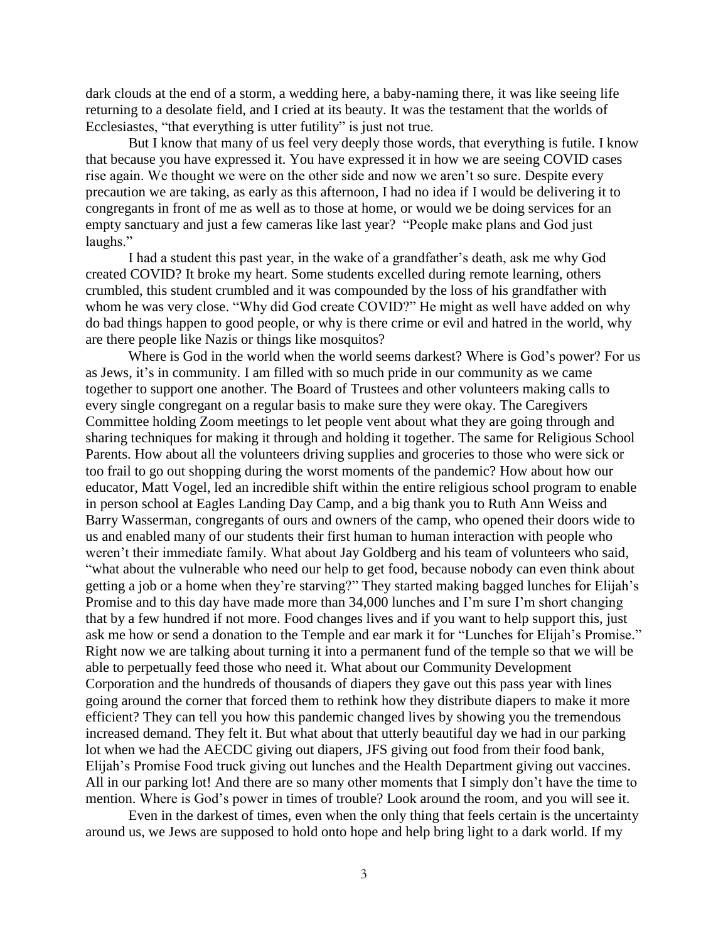dark clouds at the end of a storm, a wedding here, a baby-naming there, it was like seeing life returning to a desolate field, and I cried at its beauty. It was the testament that the worlds of Ecclesiastes, "that everything is utter futility" is just not true.

But I know that many of us feel very deeply those words, that everything is futile. I know that because you have expressed it. You have expressed it in how we are seeing COVID cases rise again. We thought we were on the other side and now we aren't so sure. Despite every precaution we are taking, as early as this afternoon, I had no idea if I would be delivering it to congregants in front of me as well as to those at home, or would we be doing services for an empty sanctuary and just a few cameras like last year? "People make plans and God just laughs."

I had a student this past year, in the wake of a grandfather's death, ask me why God created COVID? It broke my heart. Some students excelled during remote learning, others crumbled, this student crumbled and it was compounded by the loss of his grandfather with whom he was very close. "Why did God create COVID?" He might as well have added on why do bad things happen to good people, or why is there crime or evil and hatred in the world, why are there people like Nazis or things like mosquitos?

Where is God in the world when the world seems darkest? Where is God's power? For us as Jews, it's in community. I am filled with so much pride in our community as we came together to support one another. The Board of Trustees and other volunteers making calls to every single congregant on a regular basis to make sure they were okay. The Caregivers Committee holding Zoom meetings to let people vent about what they are going through and sharing techniques for making it through and holding it together. The same for Religious School Parents. How about all the volunteers driving supplies and groceries to those who were sick or too frail to go out shopping during the worst moments of the pandemic? How about how our educator, Matt Vogel, led an incredible shift within the entire religious school program to enable in person school at Eagles Landing Day Camp, and a big thank you to Ruth Ann Weiss and Barry Wasserman, congregants of ours and owners of the camp, who opened their doors wide to us and enabled many of our students their first human to human interaction with people who weren't their immediate family. What about Jay Goldberg and his team of volunteers who said, "what about the vulnerable who need our help to get food, because nobody can even think about getting a job or a home when they're starving?" They started making bagged lunches for Elijah's Promise and to this day have made more than 34,000 lunches and I'm sure I'm short changing that by a few hundred if not more. Food changes lives and if you want to help support this, just ask me how or send a donation to the Temple and ear mark it for "Lunches for Elijah's Promise." Right now we are talking about turning it into a permanent fund of the temple so that we will be able to perpetually feed those who need it. What about our Community Development Corporation and the hundreds of thousands of diapers they gave out this pass year with lines going around the corner that forced them to rethink how they distribute diapers to make it more efficient? They can tell you how this pandemic changed lives by showing you the tremendous increased demand. They felt it. But what about that utterly beautiful day we had in our parking lot when we had the AECDC giving out diapers, JFS giving out food from their food bank, Elijah's Promise Food truck giving out lunches and the Health Department giving out vaccines. All in our parking lot! And there are so many other moments that I simply don't have the time to mention. Where is God's power in times of trouble? Look around the room, and you will see it.

Even in the darkest of times, even when the only thing that feels certain is the uncertainty around us, we Jews are supposed to hold onto hope and help bring light to a dark world. If my